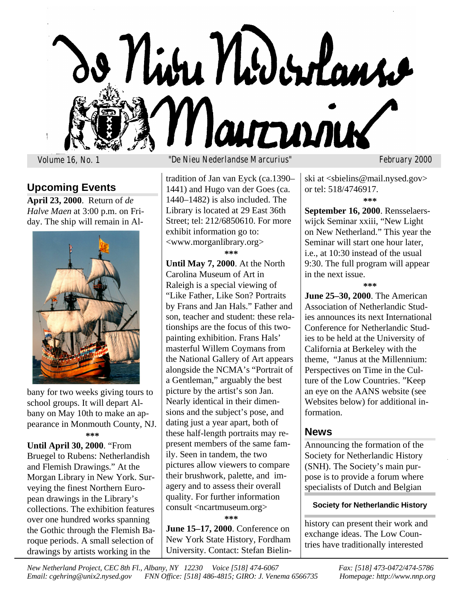

## **Upcoming Events**

**April 23, 2000**. Return of *de Halve Maen* at 3:00 p.m. on Friday. The ship will remain in Al-



bany for two weeks giving tours to school groups. It will depart Albany on May 10th to make an appearance in Monmouth County, NJ. **\*\*\***

**Until April 30, 2000**. "From Bruegel to Rubens: Netherlandish and Flemish Drawings." At the Morgan Library in New York. Surveying the finest Northern European drawings in the Library's collections. The exhibition features over one hundred works spanning the Gothic through the Flemish Baroque periods. A small selection of drawings by artists working in the

### Volume 16, No. 1 "De Nieu Nederlandse Marcurius" February 2000

tradition of Jan van Eyck (ca.1390– 1441) and Hugo van der Goes (ca. 1440–1482) is also included. The Library is located at 29 East 36th Street; tel: 212/6850610. For more exhibit information go to: <www.morganlibrary.org>

**\*\*\***

**Until May 7, 2000**. At the North Carolina Museum of Art in Raleigh is a special viewing of "Like Father, Like Son? Portraits by Frans and Jan Hals." Father and son, teacher and student: these relationships are the focus of this twopainting exhibition. Frans Hals' masterful Willem Coymans from the National Gallery of Art appears alongside the NCMA's "Portrait of a Gentleman," arguably the best picture by the artist's son Jan. Nearly identical in their dimensions and the subject's pose, and dating just a year apart, both of these half-length portraits may represent members of the same family. Seen in tandem, the two pictures allow viewers to compare their brushwork, palette, and imagery and to assess their overall quality. For further information consult <ncartmuseum.org> **\*\*\***

**June 15–17, 2000**. Conference on New York State History, Fordham University. Contact: Stefan Bielin-

ski at <sbielins@mail.nysed.gov> or tel: 518/4746917.

**\*\*\***

**September 16, 2000**. Rensselaerswijck Seminar xxiii, "New Light on New Netherland." This year the Seminar will start one hour later, i.e., at 10:30 instead of the usual 9:30. The full program will appear in the next issue.

**\*\*\***

**June 25–30, 2000**. The American Association of Netherlandic Studies announces its next International Conference for Netherlandic Studies to be held at the University of California at Berkeley with the theme, "Janus at the Millennium: Perspectives on Time in the Culture of the Low Countries. "Keep an eye on the AANS website (see Websites below) for additional information.

### **News**

Announcing the formation of the Society for Netherlandic History (SNH). The Society's main purpose is to provide a forum where specialists of Dutch and Belgian

### **Society for Netherlandic History**

history can present their work and exchange ideas. The Low Countries have traditionally interested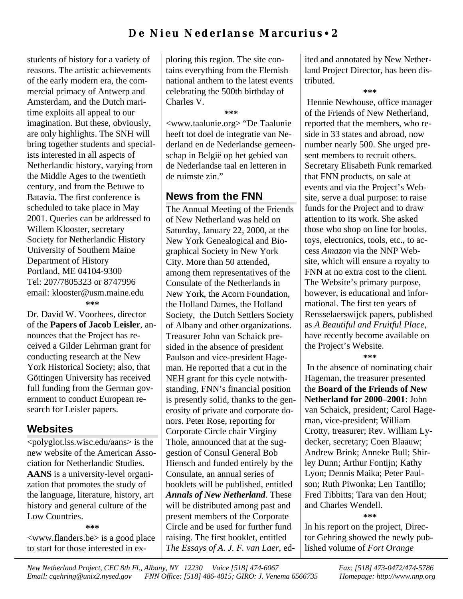students of history for a variety of reasons. The artistic achievements of the early modern era, the commercial primacy of Antwerp and Amsterdam, and the Dutch maritime exploits all appeal to our imagination. But these, obviously, are only highlights. The SNH will bring together students and specialists interested in all aspects of Netherlandic history, varying from the Middle Ages to the twentieth century, and from the Betuwe to Batavia. The first conference is scheduled to take place in May 2001. Queries can be addressed to Willem Klooster, secretary Society for Netherlandic History University of Southern Maine Department of History Portland, ME 04104-9300 Tel: 207/7805323 or 8747996 email: klooster@usm.maine.edu **\*\*\***

Dr. David W. Voorhees, director of the **Papers of Jacob Leisler**, announces that the Project has received a Gilder Lehrman grant for conducting research at the New York Historical Society; also, that Göttingen University has received full funding from the German government to conduct European research for Leisler papers.

## **Websites**

<polyglot.lss.wisc.edu/aans> is the new website of the American Association for Netherlandic Studies. **AANS** is a university-level organization that promotes the study of the language, literature, history, art history and general culture of the Low Countries.

**\*\*\***

<www.flanders.be> is a good place to start for those interested in exploring this region. The site contains everything from the Flemish national anthem to the latest events celebrating the 500th birthday of Charles V.

**\*\*\***

<www.taalunie.org> "De Taalunie heeft tot doel de integratie van Nederland en de Nederlandse gemeenschap in België op het gebied van de Nederlandse taal en letteren in de ruimste zin."

# **News from the FNN**

The Annual Meeting of the Friends of New Netherland was held on Saturday, January 22, 2000, at the New York Genealogical and Biographical Society in New York City. More than 50 attended, among them representatives of the Consulate of the Netherlands in New York, the Acorn Foundation, the Holland Dames, the Holland Society, the Dutch Settlers Society of Albany and other organizations. Treasurer John van Schaick presided in the absence of president Paulson and vice-president Hageman. He reported that a cut in the NEH grant for this cycle notwithstanding, FNN's financial position is presently solid, thanks to the generosity of private and corporate donors. Peter Rose, reporting for Corporate Circle chair Virginy Thole, announced that at the suggestion of Consul General Bob Hiensch and funded entirely by the Consulate, an annual series of booklets will be published, entitled *Annals of New Netherland*. These will be distributed among past and present members of the Corporate Circle and be used for further fund raising. The first booklet, entitled *The Essays of A. J. F. van Laer*, edited and annotated by New Netherland Project Director, has been distributed.

#### **\*\*\***

 Hennie Newhouse, office manager of the Friends of New Netherland, reported that the members, who reside in 33 states and abroad, now number nearly 500. She urged present members to recruit others. Secretary Elisabeth Funk remarked that FNN products, on sale at events and via the Project's Website, serve a dual purpose: to raise funds for the Project and to draw attention to its work. She asked those who shop on line for books, toys, electronics, tools, etc., to access *Amazon* via the NNP Website, which will ensure a royalty to FNN at no extra cost to the client. The Website's primary purpose, however, is educational and informational. The first ten years of Rensselaerswijck papers, published as *A Beautiful and Fruitful Place*, have recently become available on the Project's Website.

**\*\*\***

 In the absence of nominating chair Hageman, the treasurer presented the **Board of the Friends of New Netherland for 2000–2001**: John van Schaick, president; Carol Hageman, vice-president; William Crotty, treasurer; Rev. William Lydecker, secretary; Coen Blaauw; Andrew Brink; Anneke Bull; Shirley Dunn; Arthur Fontijn; Kathy Lyon; Dennis Maika; Peter Paulson; Ruth Piwonka; Len Tantillo; Fred Tibbitts; Tara van den Hout; and Charles Wendell. **\*\*\***

In his report on the project, Director Gehring showed the newly published volume of *Fort Orange*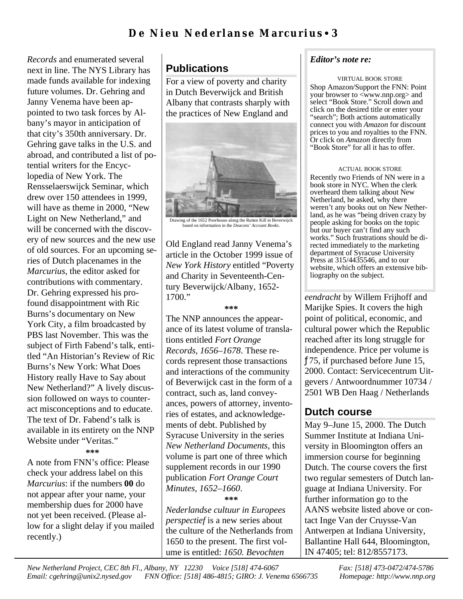*Records* and enumerated several next in line. The NYS Library has made funds available for indexing future volumes. Dr. Gehring and Janny Venema have been appointed to two task forces by Albany's mayor in anticipation of that city's 350th anniversary. Dr. Gehring gave talks in the U.S. and abroad, and contributed a list of potential writers for the Encyclopedia of New York. The Rensselaerswijck Seminar, which drew over 150 attendees in 1999, will have as theme in 2000, "New Light on New Netherland," and will be concerned with the discovery of new sources and the new use of old sources. For an upcoming series of Dutch placenames in the *Marcurius*, the editor asked for contributions with commentary. Dr. Gehring expressed his profound disappointment with Ric Burns's documentary on New York City, a film broadcasted by PBS last November. This was the subject of Firth Fabend's talk, entitled "An Historian's Review of Ric Burns's New York: What Does History really Have to Say about New Netherland?" A lively discussion followed on ways to counteract misconceptions and to educate. The text of Dr. Fabend's talk is available in its entirety on the NNP Website under "Veritas."

#### **\*\*\***

A note from FNN's office: Please check your address label on this *Marcurius*: if the numbers **00** do not appear after your name, your membership dues for 2000 have not yet been received. (Please allow for a slight delay if you mailed recently.)

# **Publications**

For a view of poverty and charity in Dutch Beverwijck and British Albany that contrasts sharply with the practices of New England and



Drawing of the 1652 Poorhouse along the Rutten Kill in Beverwijck based on information in the *Deacons' Account Books*.

Old England read Janny Venema's article in the October 1999 issue of *New York History* entitled "Poverty and Charity in Seventeenth-Century Beverwijck/Albany, 1652-  $1700."$ 

#### **\*\*\***

The NNP announces the appearance of its latest volume of translations entitled *Fort Orange Records, 1656–1678*. These records represent those transactions and interactions of the community of Beverwijck cast in the form of a contract, such as, land conveyances, powers of attorney, inventories of estates, and acknowledgements of debt. Published by Syracuse University in the series *New Netherland Documents*, this volume is part one of three which supplement records in our 1990 publication *Fort Orange Court Minutes, 1652–1660*.

#### **\*\*\***

*Nederlandse cultuur in Europees perspectief* is a new series about the culture of the Netherlands from 1650 to the present. The first volume is entitled: *1650. Bevochten*

### *Editor's note re:*

#### VIRTUAL BOOK STORE

Shop Amazon/Support the FNN: Point your browser to <www.nnp.org> and select "Book Store." Scroll down and click on the desired title or enter your "search"; Both actions automatically connect you with *Amazon* for discount prices to you and royalties to the FNN. Or click on *Amazon* directly from "Book Store" for all it has to offer.

#### ACTUAL BOOK STORE

Recently two Friends of NN were in a book store in NYC. When the clerk overheard them talking about New Netherland, he asked, why there weren't any books out on New Netherland, as he was "being driven crazy by people asking for books on the topic but our buyer can't find any such works." Such frustrations should be directed immediately to the marketing department of Syracuse University Press at 315/4435546, and to our website, which offers an extensive bibliography on the subject.

*eendracht* by Willem Frijhoff and Marijke Spies. It covers the high point of political, economic, and cultural power which the Republic reached after its long struggle for independence. Price per volume is ƒ75, if purchased before June 15, 2000. Contact: Servicecentrum Uitgevers / Antwoordnummer 10734 / 2501 WB Den Haag / Netherlands

## **Dutch course**

May 9–June 15, 2000. The Dutch Summer Institute at Indiana University in Bloomington offers an immersion course for beginning Dutch. The course covers the first two regular semesters of Dutch language at Indiana University. For further information go to the AANS website listed above or contact Inge Van der Cruysse-Van Antwerpen at Indiana University, Ballantine Hall 644, Bloomington, IN 47405; tel: 812/8557173.